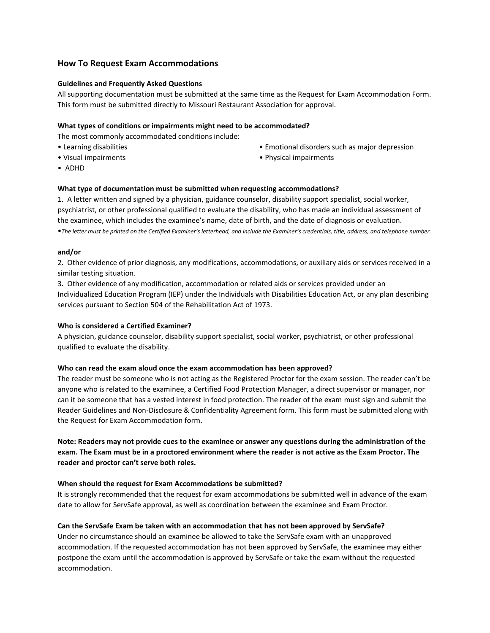#### **How To Request Exam Accommodations**

#### **Guidelines and Frequently Asked Questions**

All supporting documentation must be submitted at the same time as the Request for Exam Accommodation Form. This form must be submitted directly to Missouri Restaurant Association for approval.

#### **What types of conditions or impairments might need to be accommodated?**

The most commonly accommodated conditions include:

- Learning disabilities
- Visual impairments
- Emotional disorders such as major depression
- Physical impairments

• ADHD

#### **What type of documentation must be submitted when requesting accommodations?**

1. A letter written and signed by a physician, guidance counselor, disability support specialist, social worker, psychiatrist, or other professional qualified to evaluate the disability, who has made an individual assessment of the examinee, which includes the examinee's name, date of birth, and the date of diagnosis or evaluation.

•*The letter must be printed on the Certified Examiner's letterhead, and include the Examiner's credentials, title, address, and telephone number.*

#### **and/or**

2. Other evidence of prior diagnosis, any modifications, accommodations, or auxiliary aids or services received in a similar testing situation.

3. Other evidence of any modification, accommodation or related aids or services provided under an Individualized Education Program (IEP) under the Individuals with Disabilities Education Act, or any plan describing services pursuant to Section 504 of the Rehabilitation Act of 1973.

#### **Who is considered a Certified Examiner?**

A physician, guidance counselor, disability support specialist, social worker, psychiatrist, or other professional qualified to evaluate the disability.

#### **Who can read the exam aloud once the exam accommodation has been approved?**

The reader must be someone who is not acting as the Registered Proctor for the exam session. The reader can't be anyone who is related to the examinee, a Certified Food Protection Manager, a direct supervisor or manager, nor can it be someone that has a vested interest in food protection. The reader of the exam must sign and submit the Reader Guidelines and Non-Disclosure & Confidentiality Agreement form. This form must be submitted along with the Request for Exam Accommodation form.

#### **Note: Readers may not provide cues to the examinee or answer any questions during the administration of the exam. The Exam must be in a proctored environment where the reader is not active as the Exam Proctor. The reader and proctor can't serve both roles.**

#### **When should the request for Exam Accommodations be submitted?**

It is strongly recommended that the request for exam accommodations be submitted well in advance of the exam date to allow for ServSafe approval, as well as coordination between the examinee and Exam Proctor.

#### **Can the ServSafe Exam be taken with an accommodation that has not been approved by ServSafe?**

Under no circumstance should an examinee be allowed to take the ServSafe exam with an unapproved accommodation. If the requested accommodation has not been approved by ServSafe, the examinee may either postpone the exam until the accommodation is approved by ServSafe or take the exam without the requested accommodation.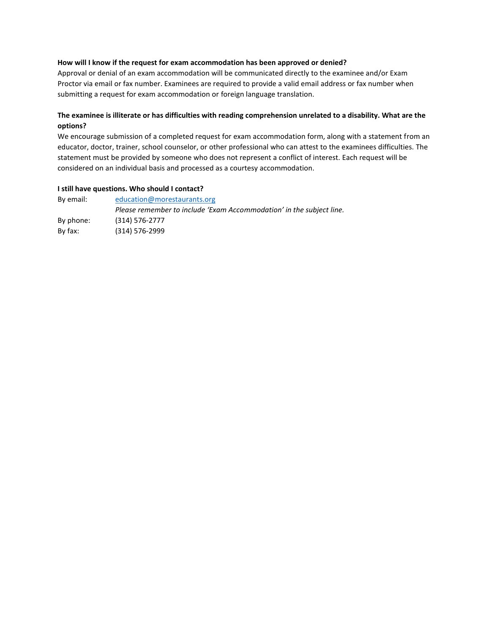#### **How will I know if the request for exam accommodation has been approved or denied?**

Approval or denial of an exam accommodation will be communicated directly to the examinee and/or Exam Proctor via email or fax number. Examinees are required to provide a valid email address or fax number when submitting a request for exam accommodation or foreign language translation.

#### **The examinee is illiterate or has difficulties with reading comprehension unrelated to a disability. What are the options?**

We encourage submission of a completed request for exam accommodation form, along with a statement from an educator, doctor, trainer, school counselor, or other professional who can attest to the examinees difficulties. The statement must be provided by someone who does not represent a conflict of interest. Each request will be considered on an individual basis and processed as a courtesy accommodation.

#### **I still have questions. Who should I contact?**

| By email: | education@morestaurants.org                                          |  |
|-----------|----------------------------------------------------------------------|--|
|           | Please remember to include 'Exam Accommodation' in the subject line. |  |
| By phone: | (314) 576-2777                                                       |  |
| By fax:   | $(314)$ 576-2999                                                     |  |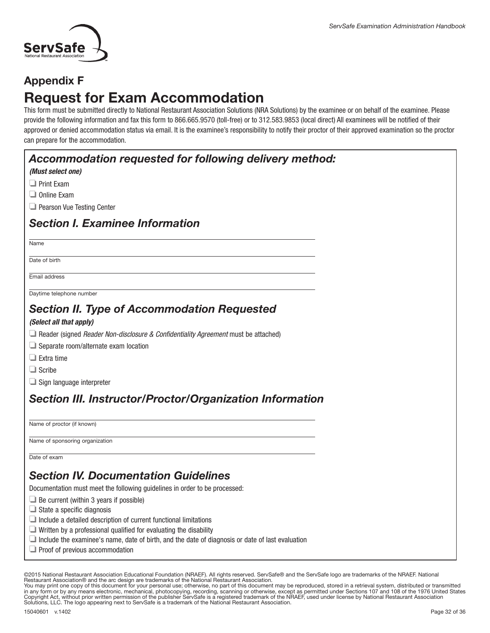

### Appendix F

# Request for Exam Accommodation

This form must be submitted directly to National Restaurant Association Solutions (NRA Solutions) by the examinee or on behalf of the examinee. Please provide the following information and fax this form to 866.665.9570 (toll-free) or to 312.583.9853 (local direct) All examinees will be notified of their approved or denied accommodation status via email. It is the examinee's responsibility to notify their proctor of their approved examination so the proctor can prepare for the accommodation.

| Accommodation requested for following delivery method:<br>(Must select one)<br>$\Box$ Print Exam<br>$\Box$ Online Exam<br>Pearson Vue Testing Center<br><b>Section I. Examinee Information</b><br>Name<br>Date of birth |
|-------------------------------------------------------------------------------------------------------------------------------------------------------------------------------------------------------------------------|
|                                                                                                                                                                                                                         |
|                                                                                                                                                                                                                         |
|                                                                                                                                                                                                                         |
|                                                                                                                                                                                                                         |
|                                                                                                                                                                                                                         |
|                                                                                                                                                                                                                         |
|                                                                                                                                                                                                                         |
| Email address                                                                                                                                                                                                           |
| Daytime telephone number                                                                                                                                                                                                |
| <b>Section II. Type of Accommodation Requested</b>                                                                                                                                                                      |
| (Select all that apply)                                                                                                                                                                                                 |
| $\Box$ Reader (signed <i>Reader Non-disclosure &amp; Confidentiality Agreement</i> must be attached)                                                                                                                    |
| $\Box$ Separate room/alternate exam location                                                                                                                                                                            |
| $\Box$ Extra time                                                                                                                                                                                                       |
| $\Box$ Scribe                                                                                                                                                                                                           |
| $\Box$ Sign language interpreter                                                                                                                                                                                        |
| <b>Section III. Instructor/Proctor/Organization Information</b>                                                                                                                                                         |
| Name of proctor (if known)                                                                                                                                                                                              |
| Name of sponsoring organization                                                                                                                                                                                         |
| Date of exam                                                                                                                                                                                                            |
| <b>Section IV. Documentation Guidelines</b>                                                                                                                                                                             |
| Documentation must meet the following guidelines in order to be processed:                                                                                                                                              |
| $\Box$ Be current (within 3 years if possible)                                                                                                                                                                          |
| $\Box$ State a specific diagnosis                                                                                                                                                                                       |
| $\Box$ Include a detailed description of current functional limitations                                                                                                                                                 |
| $\Box$ Written by a professional qualified for evaluating the disability                                                                                                                                                |
| $\Box$ Include the examinee's name, date of birth, and the date of diagnosis or date of last evaluation<br>Proof of previous accommodation                                                                              |

©2015 National Restaurant Association Educational Foundation (NRAEF). All rights reserved. ServSafe® and the ServSafe logo are trademarks of the NRAEF. National<br>Restaurant Association® and the arc design are trademarks of

You may print one copy of this document for your personal use; otherwise, no part of this document may be reproduced, stored in a retrieval system, distributed or transmitted<br>in any form or by any means electronic, mechan